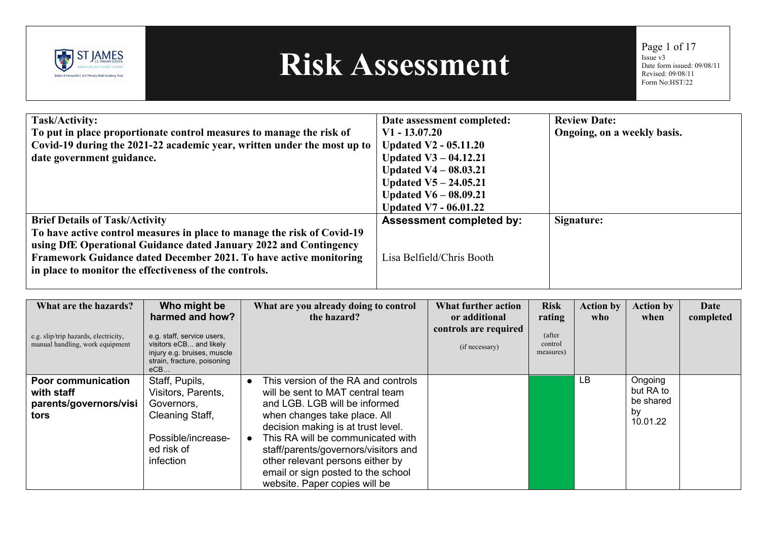

## **Risk Assessment**

Page 1 of 17 Issue v3 Date form issued: 09/08/11 Revised: 09/08/11 Form No:HST/22

| Task/Activity:                                                          | Date assessment completed:      | <b>Review Date:</b>         |
|-------------------------------------------------------------------------|---------------------------------|-----------------------------|
| To put in place proportionate control measures to manage the risk of    | $V1 - 13.07.20$                 | Ongoing, on a weekly basis. |
| Covid-19 during the 2021-22 academic year, written under the most up to | <b>Updated V2 - 05.11.20</b>    |                             |
| date government guidance.                                               | Updated $V3 - 04.12.21$         |                             |
|                                                                         | Updated $V4 - 08.03.21$         |                             |
|                                                                         | Updated $V5 - 24.05.21$         |                             |
|                                                                         | Updated $V6 - 08.09.21$         |                             |
|                                                                         | <b>Updated V7 - 06.01.22</b>    |                             |
| <b>Brief Details of Task/Activity</b>                                   | <b>Assessment completed by:</b> | Signature:                  |
| To have active control measures in place to manage the risk of Covid-19 |                                 |                             |
| using DfE Operational Guidance dated January 2022 and Contingency       |                                 |                             |
| Framework Guidance dated December 2021. To have active monitoring       | Lisa Belfield/Chris Booth       |                             |
| in place to monitor the effectiveness of the controls.                  |                                 |                             |
|                                                                         |                                 |                             |

| What are the hazards?<br>e.g. slip/trip hazards, electricity,<br>manual handling, work equipment | Who might be<br>harmed and how?<br>e.g. staff, service users,<br>visitors eCB and likely<br>injury e.g. bruises, muscle<br>strain, fracture, poisoning<br>eCB | What are you already doing to control<br>the hazard?                                                                                                                                                                                                                                                                                                                   | What further action<br>or additional<br>controls are required<br>(if necessary) | <b>Risk</b><br>rating<br>(after<br>control<br>measures) | <b>Action by</b><br>who | <b>Action by</b><br>when                            | Date<br>completed |
|--------------------------------------------------------------------------------------------------|---------------------------------------------------------------------------------------------------------------------------------------------------------------|------------------------------------------------------------------------------------------------------------------------------------------------------------------------------------------------------------------------------------------------------------------------------------------------------------------------------------------------------------------------|---------------------------------------------------------------------------------|---------------------------------------------------------|-------------------------|-----------------------------------------------------|-------------------|
| <b>Poor communication</b><br>with staff<br>parents/governors/visi<br>tors                        | Staff, Pupils,<br>Visitors, Parents,<br>Governors,<br>Cleaning Staff,<br>Possible/increase-<br>ed risk of<br>infection                                        | This version of the RA and controls<br>will be sent to MAT central team<br>and LGB. LGB will be informed<br>when changes take place. All<br>decision making is at trust level.<br>This RA will be communicated with<br>staff/parents/governors/visitors and<br>other relevant persons either by<br>email or sign posted to the school<br>website. Paper copies will be |                                                                                 |                                                         | LВ                      | Ongoing<br>but RA to<br>be shared<br>by<br>10.01.22 |                   |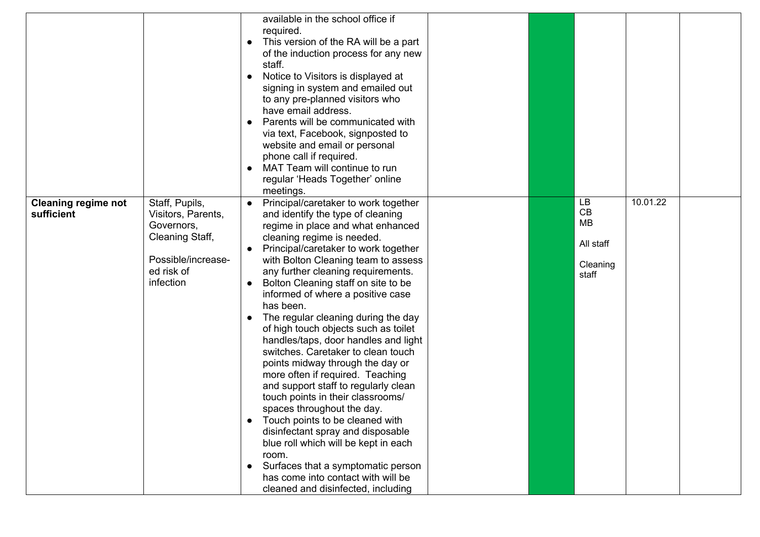|                                          |                                                                                                                        | $\bullet$<br>$\bullet$<br>$\bullet$<br>$\bullet$ | available in the school office if<br>required.<br>This version of the RA will be a part<br>of the induction process for any new<br>staff.<br>Notice to Visitors is displayed at<br>signing in system and emailed out<br>to any pre-planned visitors who<br>have email address.<br>Parents will be communicated with<br>via text, Facebook, signposted to<br>website and email or personal<br>phone call if required.<br>MAT Team will continue to run<br>regular 'Heads Together' online<br>meetings.                                                                                                                                                                                                                                                                                                                                                                                                                                                 |  |                                                         |          |  |
|------------------------------------------|------------------------------------------------------------------------------------------------------------------------|--------------------------------------------------|-------------------------------------------------------------------------------------------------------------------------------------------------------------------------------------------------------------------------------------------------------------------------------------------------------------------------------------------------------------------------------------------------------------------------------------------------------------------------------------------------------------------------------------------------------------------------------------------------------------------------------------------------------------------------------------------------------------------------------------------------------------------------------------------------------------------------------------------------------------------------------------------------------------------------------------------------------|--|---------------------------------------------------------|----------|--|
| <b>Cleaning regime not</b><br>sufficient | Staff, Pupils,<br>Visitors, Parents,<br>Governors,<br>Cleaning Staff,<br>Possible/increase-<br>ed risk of<br>infection | $\bullet$<br>$\bullet$<br>$\bullet$<br>$\bullet$ | Principal/caretaker to work together<br>and identify the type of cleaning<br>regime in place and what enhanced<br>cleaning regime is needed.<br>Principal/caretaker to work together<br>with Bolton Cleaning team to assess<br>any further cleaning requirements.<br>Bolton Cleaning staff on site to be<br>informed of where a positive case<br>has been.<br>The regular cleaning during the day<br>of high touch objects such as toilet<br>handles/taps, door handles and light<br>switches. Caretaker to clean touch<br>points midway through the day or<br>more often if required. Teaching<br>and support staff to regularly clean<br>touch points in their classrooms/<br>spaces throughout the day.<br>Touch points to be cleaned with<br>disinfectant spray and disposable<br>blue roll which will be kept in each<br>room.<br>Surfaces that a symptomatic person<br>has come into contact with will be<br>cleaned and disinfected, including |  | <b>LB</b><br>CB<br>MB<br>All staff<br>Cleaning<br>staff | 10.01.22 |  |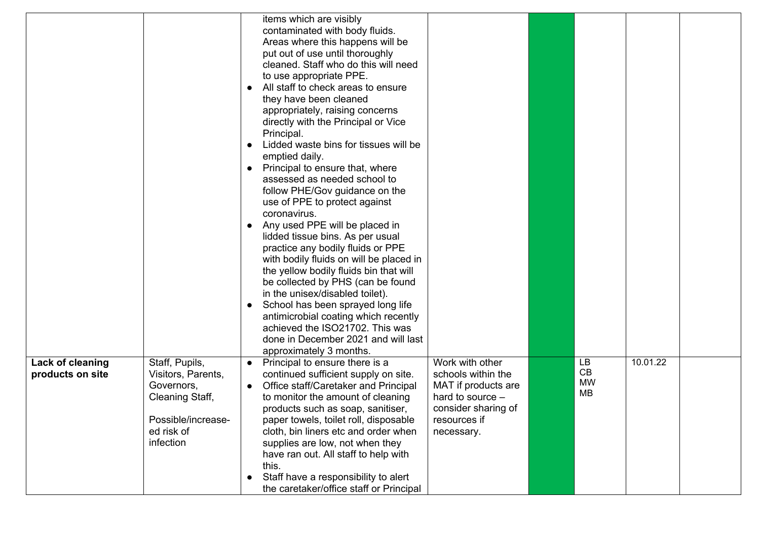|                                             |                                                                                                                        | $\bullet$<br>$\bullet$<br>$\bullet$<br>$\bullet$<br>$\bullet$ | items which are visibly<br>contaminated with body fluids.<br>Areas where this happens will be<br>put out of use until thoroughly<br>cleaned. Staff who do this will need<br>to use appropriate PPE.<br>All staff to check areas to ensure<br>they have been cleaned<br>appropriately, raising concerns<br>directly with the Principal or Vice<br>Principal.<br>Lidded waste bins for tissues will be<br>emptied daily.<br>Principal to ensure that, where<br>assessed as needed school to<br>follow PHE/Gov guidance on the<br>use of PPE to protect against<br>coronavirus.<br>Any used PPE will be placed in<br>lidded tissue bins. As per usual<br>practice any bodily fluids or PPE<br>with bodily fluids on will be placed in<br>the yellow bodily fluids bin that will<br>be collected by PHS (can be found<br>in the unisex/disabled toilet).<br>School has been sprayed long life<br>antimicrobial coating which recently<br>achieved the ISO21702. This was<br>done in December 2021 and will last |                                                                                                                      |                              |          |  |
|---------------------------------------------|------------------------------------------------------------------------------------------------------------------------|---------------------------------------------------------------|-------------------------------------------------------------------------------------------------------------------------------------------------------------------------------------------------------------------------------------------------------------------------------------------------------------------------------------------------------------------------------------------------------------------------------------------------------------------------------------------------------------------------------------------------------------------------------------------------------------------------------------------------------------------------------------------------------------------------------------------------------------------------------------------------------------------------------------------------------------------------------------------------------------------------------------------------------------------------------------------------------------|----------------------------------------------------------------------------------------------------------------------|------------------------------|----------|--|
|                                             |                                                                                                                        |                                                               | approximately 3 months.                                                                                                                                                                                                                                                                                                                                                                                                                                                                                                                                                                                                                                                                                                                                                                                                                                                                                                                                                                                     | Work with other                                                                                                      | LB                           | 10.01.22 |  |
| <b>Lack of cleaning</b><br>products on site | Staff, Pupils,<br>Visitors, Parents,<br>Governors,<br>Cleaning Staff,<br>Possible/increase-<br>ed risk of<br>infection | $\bullet$<br>$\bullet$                                        | Principal to ensure there is a<br>continued sufficient supply on site.<br>Office staff/Caretaker and Principal<br>to monitor the amount of cleaning<br>products such as soap, sanitiser,<br>paper towels, toilet roll, disposable<br>cloth, bin liners etc and order when<br>supplies are low, not when they<br>have ran out. All staff to help with<br>this.<br>Staff have a responsibility to alert<br>the caretaker/office staff or Principal                                                                                                                                                                                                                                                                                                                                                                                                                                                                                                                                                            | schools within the<br>MAT if products are<br>hard to source $-$<br>consider sharing of<br>resources if<br>necessary. | CB<br><b>MW</b><br><b>MB</b> |          |  |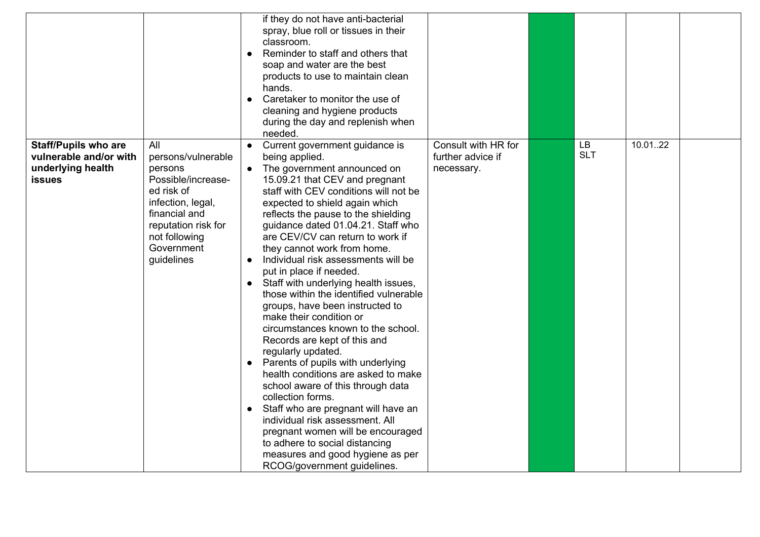|                                                                            |                                                                                                                                            | $\bullet$<br>$\bullet$ | if they do not have anti-bacterial<br>spray, blue roll or tissues in their<br>classroom.<br>Reminder to staff and others that<br>soap and water are the best<br>products to use to maintain clean<br>hands.<br>Caretaker to monitor the use of<br>cleaning and hygiene products<br>during the day and replenish when<br>needed.                                                                                                                                                                                                                                                                                                                                                                                                                                                                                                                                                                                                   |                                          |                         |         |  |
|----------------------------------------------------------------------------|--------------------------------------------------------------------------------------------------------------------------------------------|------------------------|-----------------------------------------------------------------------------------------------------------------------------------------------------------------------------------------------------------------------------------------------------------------------------------------------------------------------------------------------------------------------------------------------------------------------------------------------------------------------------------------------------------------------------------------------------------------------------------------------------------------------------------------------------------------------------------------------------------------------------------------------------------------------------------------------------------------------------------------------------------------------------------------------------------------------------------|------------------------------------------|-------------------------|---------|--|
| <b>Staff/Pupils who are</b><br>vulnerable and/or with<br>underlying health | All<br>persons/vulnerable<br>persons                                                                                                       | $\bullet$<br>$\bullet$ | Current government guidance is<br>being applied.<br>The government announced on                                                                                                                                                                                                                                                                                                                                                                                                                                                                                                                                                                                                                                                                                                                                                                                                                                                   | Consult with HR for<br>further advice if | <b>LB</b><br><b>SLT</b> | 10.0122 |  |
| <b>issues</b>                                                              | Possible/increase-<br>ed risk of<br>infection, legal,<br>financial and<br>reputation risk for<br>not following<br>Government<br>guidelines | $\bullet$<br>$\bullet$ | 15.09.21 that CEV and pregnant<br>staff with CEV conditions will not be<br>expected to shield again which<br>reflects the pause to the shielding<br>guidance dated 01.04.21. Staff who<br>are CEV/CV can return to work if<br>they cannot work from home.<br>Individual risk assessments will be<br>put in place if needed.<br>Staff with underlying health issues,<br>those within the identified vulnerable<br>groups, have been instructed to<br>make their condition or<br>circumstances known to the school.<br>Records are kept of this and<br>regularly updated.<br>Parents of pupils with underlying<br>health conditions are asked to make<br>school aware of this through data<br>collection forms.<br>Staff who are pregnant will have an<br>individual risk assessment. All<br>pregnant women will be encouraged<br>to adhere to social distancing<br>measures and good hygiene as per<br>RCOG/government guidelines. | necessary.                               |                         |         |  |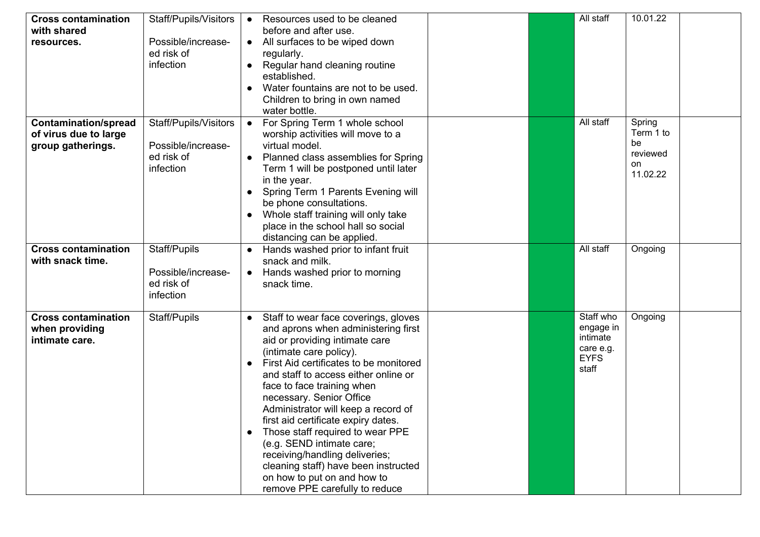| <b>Cross contamination</b><br>with shared<br>resources.                   | Staff/Pupils/Visitors<br>Possible/increase-<br>ed risk of<br>infection | Resources used to be cleaned<br>before and after use.<br>All surfaces to be wiped down<br>$\bullet$<br>regularly.<br>Regular hand cleaning routine<br>established.<br>Water fountains are not to be used.<br>Children to bring in own named<br>water bottle.                                                                                                                                                                                                                                                                                                                                             | All staff                                                               | 10.01.22                                                |  |
|---------------------------------------------------------------------------|------------------------------------------------------------------------|----------------------------------------------------------------------------------------------------------------------------------------------------------------------------------------------------------------------------------------------------------------------------------------------------------------------------------------------------------------------------------------------------------------------------------------------------------------------------------------------------------------------------------------------------------------------------------------------------------|-------------------------------------------------------------------------|---------------------------------------------------------|--|
| <b>Contamination/spread</b><br>of virus due to large<br>group gatherings. | Staff/Pupils/Visitors<br>Possible/increase-<br>ed risk of<br>infection | For Spring Term 1 whole school<br>$\bullet$<br>worship activities will move to a<br>virtual model.<br>Planned class assemblies for Spring<br>Term 1 will be postponed until later<br>in the year.<br>Spring Term 1 Parents Evening will<br>be phone consultations.<br>Whole staff training will only take<br>$\bullet$<br>place in the school hall so social<br>distancing can be applied.                                                                                                                                                                                                               | All staff                                                               | Spring<br>Term 1 to<br>be<br>reviewed<br>on<br>11.02.22 |  |
| <b>Cross contamination</b><br>with snack time.                            | Staff/Pupils<br>Possible/increase-<br>ed risk of<br>infection          | Hands washed prior to infant fruit<br>snack and milk.<br>Hands washed prior to morning<br>snack time.                                                                                                                                                                                                                                                                                                                                                                                                                                                                                                    | All staff                                                               | Ongoing                                                 |  |
| <b>Cross contamination</b><br>when providing<br>intimate care.            | Staff/Pupils                                                           | Staff to wear face coverings, gloves<br>$\bullet$<br>and aprons when administering first<br>aid or providing intimate care<br>(intimate care policy).<br>First Aid certificates to be monitored<br>and staff to access either online or<br>face to face training when<br>necessary. Senior Office<br>Administrator will keep a record of<br>first aid certificate expiry dates.<br>Those staff required to wear PPE<br>$\bullet$<br>(e.g. SEND intimate care;<br>receiving/handling deliveries;<br>cleaning staff) have been instructed<br>on how to put on and how to<br>remove PPE carefully to reduce | Staff who<br>engage in<br>intimate<br>care e.g.<br><b>EYFS</b><br>staff | Ongoing                                                 |  |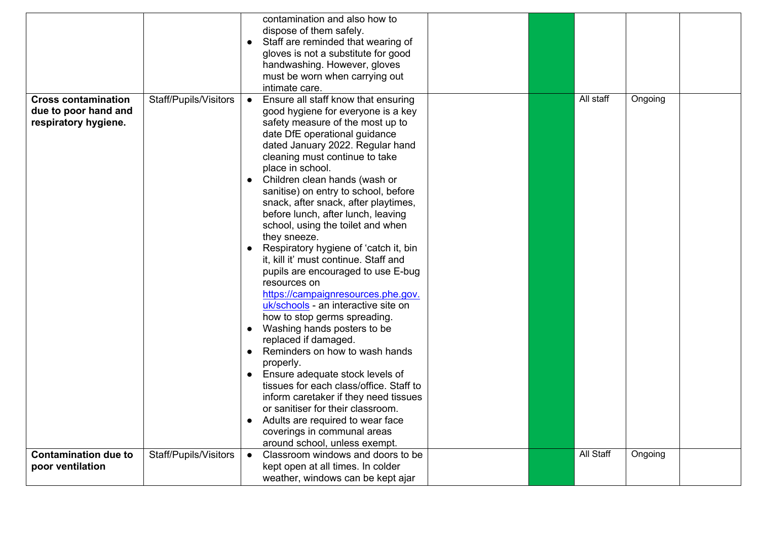|                                                                            |                       | contamination and also how to<br>dispose of them safely.<br>Staff are reminded that wearing of<br>gloves is not a substitute for good<br>handwashing. However, gloves<br>must be worn when carrying out                                                                                                                                                                                                                                                                                                                                                                                                                                                                                                                                                                                                                                                                                                                                                                                                                                        |           |         |
|----------------------------------------------------------------------------|-----------------------|------------------------------------------------------------------------------------------------------------------------------------------------------------------------------------------------------------------------------------------------------------------------------------------------------------------------------------------------------------------------------------------------------------------------------------------------------------------------------------------------------------------------------------------------------------------------------------------------------------------------------------------------------------------------------------------------------------------------------------------------------------------------------------------------------------------------------------------------------------------------------------------------------------------------------------------------------------------------------------------------------------------------------------------------|-----------|---------|
|                                                                            |                       | intimate care.                                                                                                                                                                                                                                                                                                                                                                                                                                                                                                                                                                                                                                                                                                                                                                                                                                                                                                                                                                                                                                 |           |         |
| <b>Cross contamination</b><br>due to poor hand and<br>respiratory hygiene. | Staff/Pupils/Visitors | Ensure all staff know that ensuring<br>good hygiene for everyone is a key<br>safety measure of the most up to<br>date DfE operational guidance<br>dated January 2022. Regular hand<br>cleaning must continue to take<br>place in school.<br>Children clean hands (wash or<br>sanitise) on entry to school, before<br>snack, after snack, after playtimes,<br>before lunch, after lunch, leaving<br>school, using the toilet and when<br>they sneeze.<br>Respiratory hygiene of 'catch it, bin<br>it, kill it' must continue. Staff and<br>pupils are encouraged to use E-bug<br>resources on<br>https://campaignresources.phe.gov.<br>uk/schools - an interactive site on<br>how to stop germs spreading.<br>Washing hands posters to be<br>replaced if damaged.<br>Reminders on how to wash hands<br>properly.<br>Ensure adequate stock levels of<br>tissues for each class/office. Staff to<br>inform caretaker if they need tissues<br>or sanitiser for their classroom.<br>Adults are required to wear face<br>coverings in communal areas | All staff | Ongoing |
|                                                                            |                       | around school, unless exempt.                                                                                                                                                                                                                                                                                                                                                                                                                                                                                                                                                                                                                                                                                                                                                                                                                                                                                                                                                                                                                  |           |         |
| <b>Contamination due to</b><br>poor ventilation                            | Staff/Pupils/Visitors | Classroom windows and doors to be<br>kept open at all times. In colder<br>weather, windows can be kept ajar                                                                                                                                                                                                                                                                                                                                                                                                                                                                                                                                                                                                                                                                                                                                                                                                                                                                                                                                    | All Staff | Ongoing |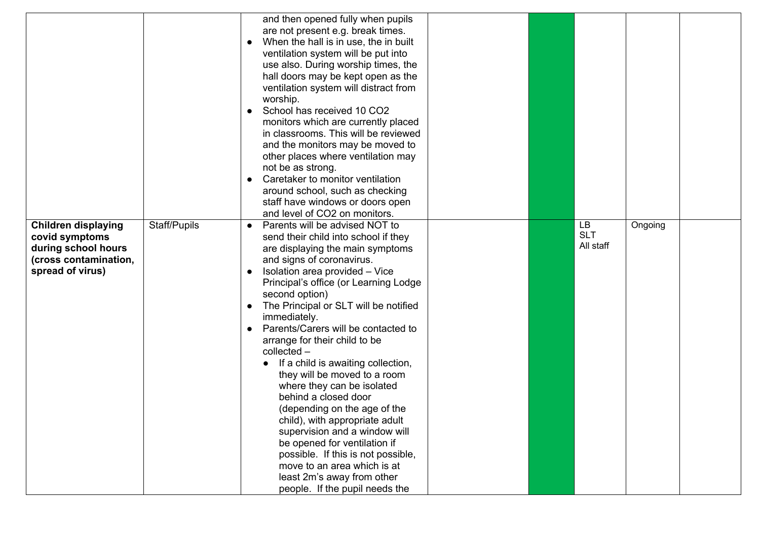|                                                                                                                  |              | and then opened fully when pupils<br>are not present e.g. break times.<br>When the hall is in use, the in built<br>$\bullet$<br>ventilation system will be put into<br>use also. During worship times, the<br>hall doors may be kept open as the<br>ventilation system will distract from<br>worship.<br>School has received 10 CO2<br>$\bullet$<br>monitors which are currently placed<br>in classrooms. This will be reviewed<br>and the monitors may be moved to<br>other places where ventilation may<br>not be as strong.<br>Caretaker to monitor ventilation<br>$\bullet$<br>around school, such as checking<br>staff have windows or doors open<br>and level of CO2 on monitors.                                                                                                                                                      |                               |         |  |
|------------------------------------------------------------------------------------------------------------------|--------------|----------------------------------------------------------------------------------------------------------------------------------------------------------------------------------------------------------------------------------------------------------------------------------------------------------------------------------------------------------------------------------------------------------------------------------------------------------------------------------------------------------------------------------------------------------------------------------------------------------------------------------------------------------------------------------------------------------------------------------------------------------------------------------------------------------------------------------------------|-------------------------------|---------|--|
| <b>Children displaying</b><br>covid symptoms<br>during school hours<br>(cross contamination,<br>spread of virus) | Staff/Pupils | Parents will be advised NOT to<br>$\bullet$<br>send their child into school if they<br>are displaying the main symptoms<br>and signs of coronavirus.<br>Isolation area provided - Vice<br>$\bullet$<br>Principal's office (or Learning Lodge<br>second option)<br>The Principal or SLT will be notified<br>$\bullet$<br>immediately.<br>Parents/Carers will be contacted to<br>$\bullet$<br>arrange for their child to be<br>collected -<br>If a child is awaiting collection,<br>they will be moved to a room<br>where they can be isolated<br>behind a closed door<br>(depending on the age of the<br>child), with appropriate adult<br>supervision and a window will<br>be opened for ventilation if<br>possible. If this is not possible,<br>move to an area which is at<br>least 2m's away from other<br>people. If the pupil needs the | LB<br><b>SLT</b><br>All staff | Ongoing |  |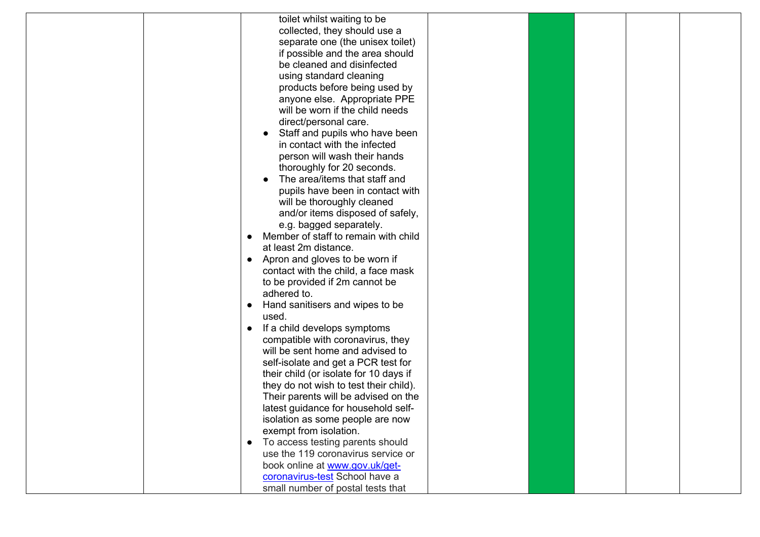| toilet whilst waiting to be                       |  |  |
|---------------------------------------------------|--|--|
| collected, they should use a                      |  |  |
| separate one (the unisex toilet)                  |  |  |
| if possible and the area should                   |  |  |
| be cleaned and disinfected                        |  |  |
| using standard cleaning                           |  |  |
| products before being used by                     |  |  |
| anyone else. Appropriate PPE                      |  |  |
| will be worn if the child needs                   |  |  |
| direct/personal care.                             |  |  |
| Staff and pupils who have been                    |  |  |
| in contact with the infected                      |  |  |
| person will wash their hands                      |  |  |
| thoroughly for 20 seconds.                        |  |  |
| The area/items that staff and                     |  |  |
| pupils have been in contact with                  |  |  |
| will be thoroughly cleaned                        |  |  |
| and/or items disposed of safely,                  |  |  |
| e.g. bagged separately.                           |  |  |
| Member of staff to remain with child<br>$\bullet$ |  |  |
| at least 2m distance.                             |  |  |
| • Apron and gloves to be worn if                  |  |  |
| contact with the child, a face mask               |  |  |
| to be provided if 2m cannot be                    |  |  |
| adhered to.                                       |  |  |
| Hand sanitisers and wipes to be<br>$\bullet$      |  |  |
| used.                                             |  |  |
| If a child develops symptoms<br>$\bullet$         |  |  |
| compatible with coronavirus, they                 |  |  |
| will be sent home and advised to                  |  |  |
| self-isolate and get a PCR test for               |  |  |
| their child (or isolate for 10 days if            |  |  |
| they do not wish to test their child).            |  |  |
| Their parents will be advised on the              |  |  |
| latest guidance for household self-               |  |  |
| isolation as some people are now                  |  |  |
| exempt from isolation.                            |  |  |
| • To access testing parents should                |  |  |
| use the 119 coronavirus service or                |  |  |
| book online at www.gov.uk/get-                    |  |  |
| coronavirus-test School have a                    |  |  |
| small number of postal tests that                 |  |  |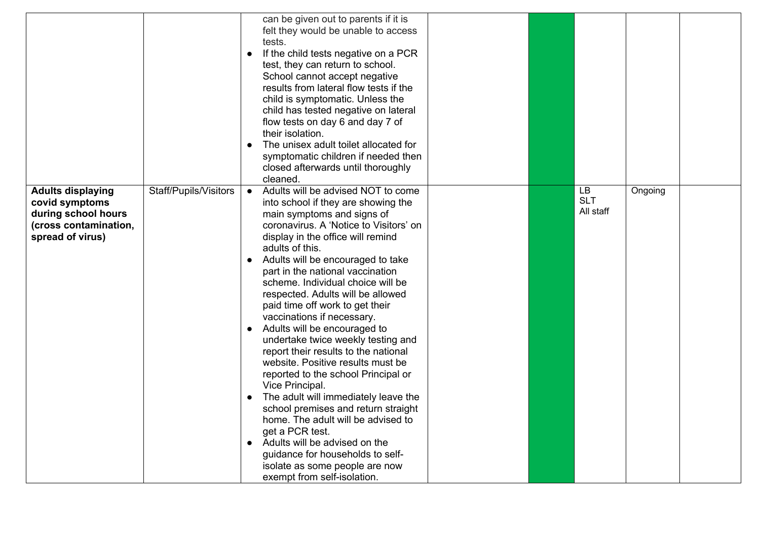|                                                                                                                |                       | can be given out to parents if it is<br>felt they would be unable to access<br>tests.<br>If the child tests negative on a PCR<br>$\bullet$<br>test, they can return to school.<br>School cannot accept negative<br>results from lateral flow tests if the<br>child is symptomatic. Unless the<br>child has tested negative on lateral<br>flow tests on day 6 and day 7 of<br>their isolation.<br>The unisex adult toilet allocated for<br>$\bullet$<br>symptomatic children if needed then<br>closed afterwards until thoroughly<br>cleaned.                                                                                                                                                                                                                                                                                                                                                                                                                                              |  |                                      |         |  |
|----------------------------------------------------------------------------------------------------------------|-----------------------|-------------------------------------------------------------------------------------------------------------------------------------------------------------------------------------------------------------------------------------------------------------------------------------------------------------------------------------------------------------------------------------------------------------------------------------------------------------------------------------------------------------------------------------------------------------------------------------------------------------------------------------------------------------------------------------------------------------------------------------------------------------------------------------------------------------------------------------------------------------------------------------------------------------------------------------------------------------------------------------------|--|--------------------------------------|---------|--|
| <b>Adults displaying</b><br>covid symptoms<br>during school hours<br>(cross contamination,<br>spread of virus) | Staff/Pupils/Visitors | Adults will be advised NOT to come<br>$\bullet$<br>into school if they are showing the<br>main symptoms and signs of<br>coronavirus. A 'Notice to Visitors' on<br>display in the office will remind<br>adults of this.<br>Adults will be encouraged to take<br>$\bullet$<br>part in the national vaccination<br>scheme. Individual choice will be<br>respected. Adults will be allowed<br>paid time off work to get their<br>vaccinations if necessary.<br>Adults will be encouraged to<br>$\bullet$<br>undertake twice weekly testing and<br>report their results to the national<br>website. Positive results must be<br>reported to the school Principal or<br>Vice Principal.<br>The adult will immediately leave the<br>$\bullet$<br>school premises and return straight<br>home. The adult will be advised to<br>get a PCR test.<br>Adults will be advised on the<br>$\bullet$<br>guidance for households to self-<br>isolate as some people are now<br>exempt from self-isolation. |  | <b>LB</b><br><b>SLT</b><br>All staff | Ongoing |  |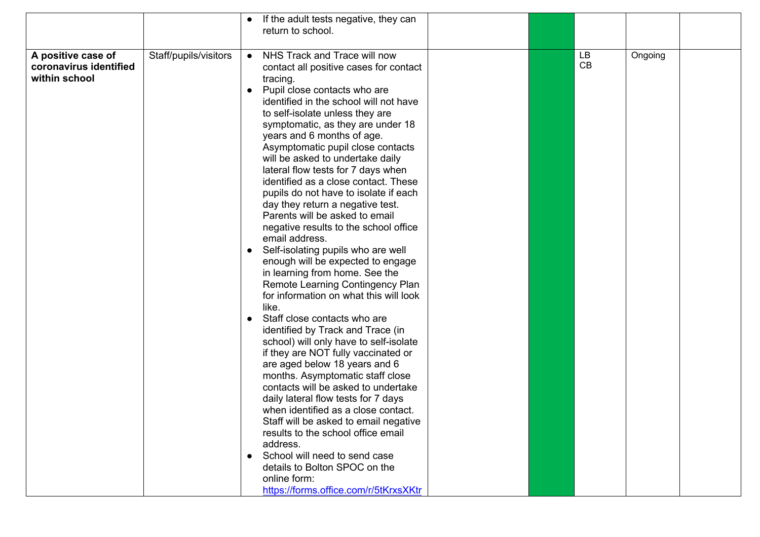| NHS Track and Trace will now<br>A positive case of<br>Staff/pupils/visitors<br>LB<br>Ongoing<br>$\bullet$<br>CB<br>coronavirus identified<br>contact all positive cases for contact<br>within school<br>tracing.<br>Pupil close contacts who are<br>identified in the school will not have<br>to self-isolate unless they are<br>symptomatic, as they are under 18<br>years and 6 months of age.<br>Asymptomatic pupil close contacts<br>will be asked to undertake daily<br>lateral flow tests for 7 days when<br>identified as a close contact. These<br>pupils do not have to isolate if each<br>day they return a negative test.<br>Parents will be asked to email                                                                                                                                             |  | If the adult tests negative, they can<br>return to school. |  |  |  |
|--------------------------------------------------------------------------------------------------------------------------------------------------------------------------------------------------------------------------------------------------------------------------------------------------------------------------------------------------------------------------------------------------------------------------------------------------------------------------------------------------------------------------------------------------------------------------------------------------------------------------------------------------------------------------------------------------------------------------------------------------------------------------------------------------------------------|--|------------------------------------------------------------|--|--|--|
| email address.<br>Self-isolating pupils who are well<br>$\bullet$<br>enough will be expected to engage<br>in learning from home. See the<br>Remote Learning Contingency Plan<br>for information on what this will look<br>like.<br>Staff close contacts who are<br>identified by Track and Trace (in<br>school) will only have to self-isolate<br>if they are NOT fully vaccinated or<br>are aged below 18 years and 6<br>months. Asymptomatic staff close<br>contacts will be asked to undertake<br>daily lateral flow tests for 7 days<br>when identified as a close contact.<br>Staff will be asked to email negative<br>results to the school office email<br>address.<br>School will need to send case<br>$\bullet$<br>details to Bolton SPOC on the<br>online form:<br>https://forms.office.com/r/5tKrxsXKtr |  | negative results to the school office                      |  |  |  |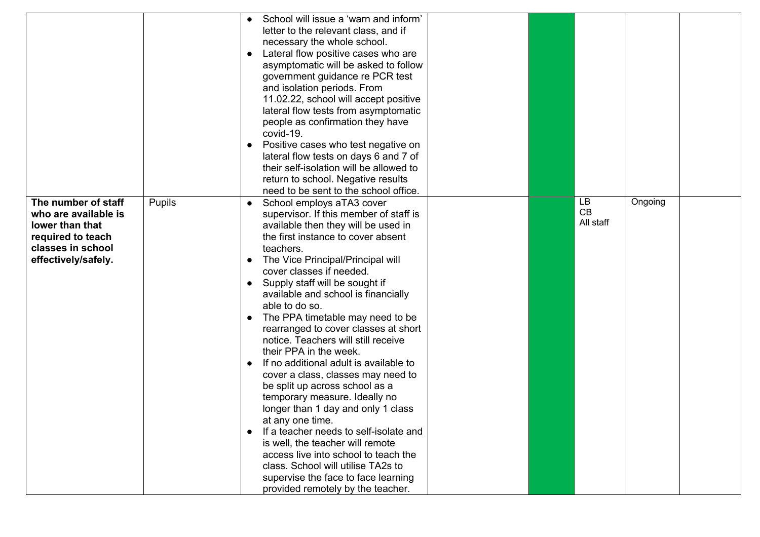|                      |        | $\bullet$ | School will issue a 'warn and inform'<br>letter to the relevant class, and if |  |           |         |  |
|----------------------|--------|-----------|-------------------------------------------------------------------------------|--|-----------|---------|--|
|                      |        |           | necessary the whole school.                                                   |  |           |         |  |
|                      |        |           |                                                                               |  |           |         |  |
|                      |        | $\bullet$ | Lateral flow positive cases who are                                           |  |           |         |  |
|                      |        |           | asymptomatic will be asked to follow                                          |  |           |         |  |
|                      |        |           | government guidance re PCR test                                               |  |           |         |  |
|                      |        |           | and isolation periods. From                                                   |  |           |         |  |
|                      |        |           | 11.02.22, school will accept positive                                         |  |           |         |  |
|                      |        |           | lateral flow tests from asymptomatic                                          |  |           |         |  |
|                      |        |           | people as confirmation they have                                              |  |           |         |  |
|                      |        |           | covid-19.                                                                     |  |           |         |  |
|                      |        | $\bullet$ | Positive cases who test negative on                                           |  |           |         |  |
|                      |        |           | lateral flow tests on days 6 and 7 of                                         |  |           |         |  |
|                      |        |           | their self-isolation will be allowed to                                       |  |           |         |  |
|                      |        |           | return to school. Negative results                                            |  |           |         |  |
|                      |        |           | need to be sent to the school office.                                         |  |           |         |  |
| The number of staff  | Pupils |           | School employs aTA3 cover                                                     |  | <b>LB</b> | Ongoing |  |
| who are available is |        |           | supervisor. If this member of staff is                                        |  | CB        |         |  |
| lower than that      |        |           | available then they will be used in                                           |  | All staff |         |  |
| required to teach    |        |           | the first instance to cover absent                                            |  |           |         |  |
| classes in school    |        |           | teachers.                                                                     |  |           |         |  |
| effectively/safely.  |        | $\bullet$ | The Vice Principal/Principal will                                             |  |           |         |  |
|                      |        |           | cover classes if needed.                                                      |  |           |         |  |
|                      |        | $\bullet$ | Supply staff will be sought if                                                |  |           |         |  |
|                      |        |           | available and school is financially                                           |  |           |         |  |
|                      |        |           | able to do so.                                                                |  |           |         |  |
|                      |        | $\bullet$ | The PPA timetable may need to be                                              |  |           |         |  |
|                      |        |           | rearranged to cover classes at short                                          |  |           |         |  |
|                      |        |           | notice. Teachers will still receive                                           |  |           |         |  |
|                      |        |           | their PPA in the week.                                                        |  |           |         |  |
|                      |        | $\bullet$ | If no additional adult is available to                                        |  |           |         |  |
|                      |        |           | cover a class, classes may need to                                            |  |           |         |  |
|                      |        |           | be split up across school as a                                                |  |           |         |  |
|                      |        |           | temporary measure. Ideally no                                                 |  |           |         |  |
|                      |        |           | longer than 1 day and only 1 class                                            |  |           |         |  |
|                      |        |           | at any one time.                                                              |  |           |         |  |
|                      |        | $\bullet$ | If a teacher needs to self-isolate and                                        |  |           |         |  |
|                      |        |           | is well, the teacher will remote                                              |  |           |         |  |
|                      |        |           | access live into school to teach the                                          |  |           |         |  |
|                      |        |           | class. School will utilise TA2s to                                            |  |           |         |  |
|                      |        |           | supervise the face to face learning                                           |  |           |         |  |
|                      |        |           | provided remotely by the teacher.                                             |  |           |         |  |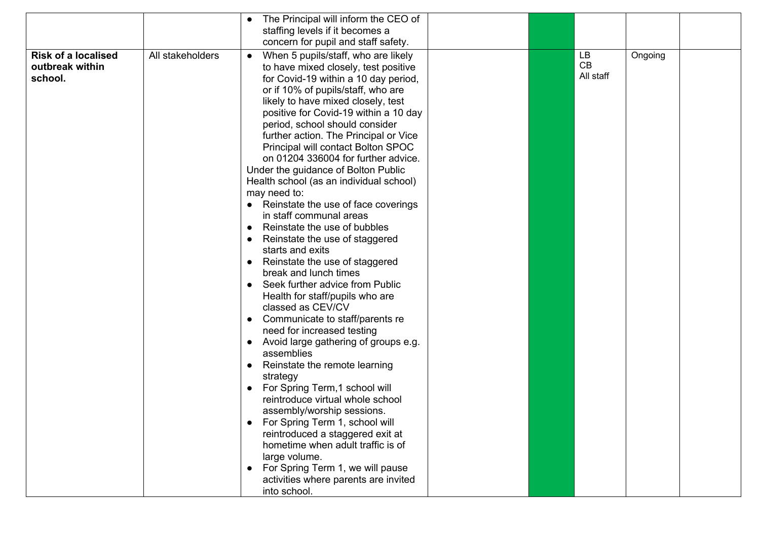|                            |                  | The Principal will inform the CEO of              |  |           |         |  |
|----------------------------|------------------|---------------------------------------------------|--|-----------|---------|--|
|                            |                  | staffing levels if it becomes a                   |  |           |         |  |
|                            |                  | concern for pupil and staff safety.               |  |           |         |  |
| <b>Risk of a localised</b> | All stakeholders | When 5 pupils/staff, who are likely               |  | LB        | Ongoing |  |
| outbreak within            |                  | to have mixed closely, test positive              |  | CB        |         |  |
| school.                    |                  | for Covid-19 within a 10 day period,              |  | All staff |         |  |
|                            |                  | or if 10% of pupils/staff, who are                |  |           |         |  |
|                            |                  | likely to have mixed closely, test                |  |           |         |  |
|                            |                  | positive for Covid-19 within a 10 day             |  |           |         |  |
|                            |                  | period, school should consider                    |  |           |         |  |
|                            |                  | further action. The Principal or Vice             |  |           |         |  |
|                            |                  | Principal will contact Bolton SPOC                |  |           |         |  |
|                            |                  | on 01204 336004 for further advice.               |  |           |         |  |
|                            |                  | Under the guidance of Bolton Public               |  |           |         |  |
|                            |                  | Health school (as an individual school)           |  |           |         |  |
|                            |                  | may need to:                                      |  |           |         |  |
|                            |                  | Reinstate the use of face coverings               |  |           |         |  |
|                            |                  | in staff communal areas                           |  |           |         |  |
|                            |                  | Reinstate the use of bubbles                      |  |           |         |  |
|                            |                  | Reinstate the use of staggered                    |  |           |         |  |
|                            |                  | starts and exits                                  |  |           |         |  |
|                            |                  | Reinstate the use of staggered                    |  |           |         |  |
|                            |                  | break and lunch times                             |  |           |         |  |
|                            |                  | Seek further advice from Public                   |  |           |         |  |
|                            |                  | Health for staff/pupils who are                   |  |           |         |  |
|                            |                  | classed as CEV/CV                                 |  |           |         |  |
|                            |                  | Communicate to staff/parents re                   |  |           |         |  |
|                            |                  | need for increased testing                        |  |           |         |  |
|                            |                  | Avoid large gathering of groups e.g.<br>$\bullet$ |  |           |         |  |
|                            |                  | assemblies                                        |  |           |         |  |
|                            |                  | Reinstate the remote learning<br>$\bullet$        |  |           |         |  |
|                            |                  | strategy                                          |  |           |         |  |
|                            |                  | For Spring Term, 1 school will                    |  |           |         |  |
|                            |                  | reintroduce virtual whole school                  |  |           |         |  |
|                            |                  | assembly/worship sessions.                        |  |           |         |  |
|                            |                  | For Spring Term 1, school will                    |  |           |         |  |
|                            |                  | reintroduced a staggered exit at                  |  |           |         |  |
|                            |                  | hometime when adult traffic is of                 |  |           |         |  |
|                            |                  | large volume.                                     |  |           |         |  |
|                            |                  | For Spring Term 1, we will pause                  |  |           |         |  |
|                            |                  | activities where parents are invited              |  |           |         |  |
|                            |                  | into school.                                      |  |           |         |  |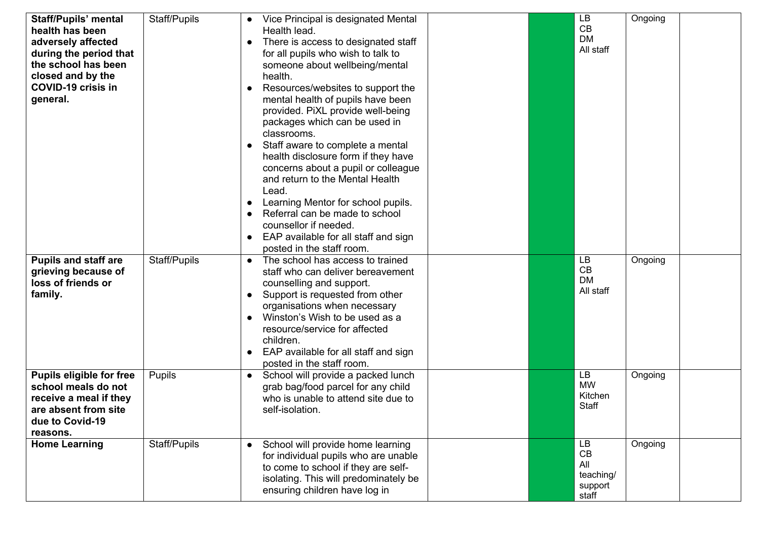| <b>Staff/Pupils' mental</b><br>health has been<br>adversely affected<br>during the period that<br>the school has been<br>closed and by the<br><b>COVID-19 crisis in</b><br>general. | Staff/Pupils           | Vice Principal is designated Mental<br>Health lead.<br>There is access to designated staff<br>$\bullet$<br>for all pupils who wish to talk to<br>someone about wellbeing/mental<br>health.<br>Resources/websites to support the<br>mental health of pupils have been<br>provided. PiXL provide well-being<br>packages which can be used in<br>classrooms.<br>Staff aware to complete a mental<br>$\bullet$<br>health disclosure form if they have<br>concerns about a pupil or colleague<br>and return to the Mental Health<br>Lead.<br>Learning Mentor for school pupils.<br>$\bullet$<br>Referral can be made to school<br>counsellor if needed.<br>EAP available for all staff and sign | <b>LB</b><br>CB<br><b>DM</b><br>All staff                                   | Ongoing            |  |
|-------------------------------------------------------------------------------------------------------------------------------------------------------------------------------------|------------------------|--------------------------------------------------------------------------------------------------------------------------------------------------------------------------------------------------------------------------------------------------------------------------------------------------------------------------------------------------------------------------------------------------------------------------------------------------------------------------------------------------------------------------------------------------------------------------------------------------------------------------------------------------------------------------------------------|-----------------------------------------------------------------------------|--------------------|--|
| <b>Pupils and staff are</b><br>grieving because of<br>loss of friends or<br>family.<br><b>Pupils eligible for free</b><br>school meals do not                                       | Staff/Pupils<br>Pupils | posted in the staff room.<br>The school has access to trained<br>$\bullet$<br>staff who can deliver bereavement<br>counselling and support.<br>Support is requested from other<br>$\bullet$<br>organisations when necessary<br>Winston's Wish to be used as a<br>$\bullet$<br>resource/service for affected<br>children.<br>EAP available for all staff and sign<br>posted in the staff room.<br>School will provide a packed lunch<br>grab bag/food parcel for any child                                                                                                                                                                                                                  | LB<br>CB<br><b>DM</b><br>All staff<br><b>LB</b><br><b>MW</b><br>Kitchen     | Ongoing<br>Ongoing |  |
| receive a meal if they<br>are absent from site<br>due to Covid-19<br>reasons.<br><b>Home Learning</b>                                                                               | Staff/Pupils           | who is unable to attend site due to<br>self-isolation.<br>School will provide home learning<br>$\bullet$<br>for individual pupils who are unable<br>to come to school if they are self-<br>isolating. This will predominately be<br>ensuring children have log in                                                                                                                                                                                                                                                                                                                                                                                                                          | <b>Staff</b><br>LB<br>$\mathsf{CB}$<br>All<br>teaching/<br>support<br>staff | Ongoing            |  |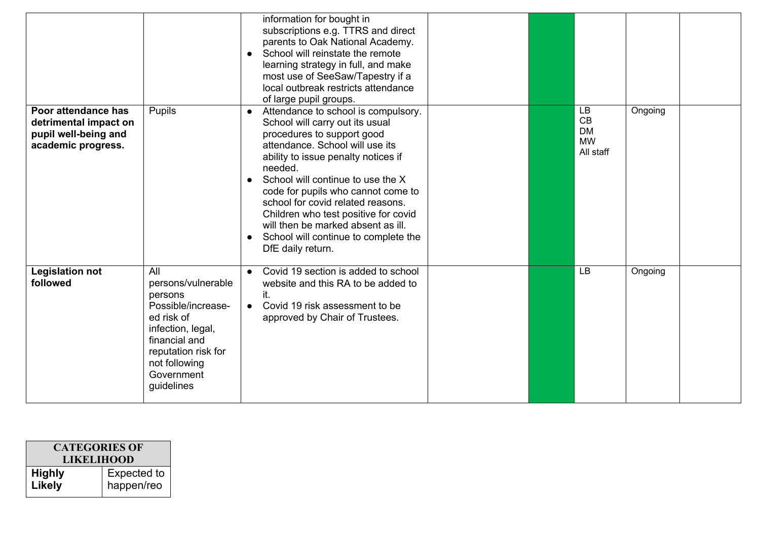|                                                                                            |                                                                                                                                                                                    | information for bought in<br>subscriptions e.g. TTRS and direct<br>parents to Oak National Academy.<br>School will reinstate the remote<br>$\bullet$<br>learning strategy in full, and make<br>most use of SeeSaw/Tapestry if a<br>local outbreak restricts attendance<br>of large pupil groups.                                                                                                                                                                                            |  |                                                        |         |  |
|--------------------------------------------------------------------------------------------|------------------------------------------------------------------------------------------------------------------------------------------------------------------------------------|---------------------------------------------------------------------------------------------------------------------------------------------------------------------------------------------------------------------------------------------------------------------------------------------------------------------------------------------------------------------------------------------------------------------------------------------------------------------------------------------|--|--------------------------------------------------------|---------|--|
| Poor attendance has<br>detrimental impact on<br>pupil well-being and<br>academic progress. | Pupils                                                                                                                                                                             | Attendance to school is compulsory.<br>$\bullet$<br>School will carry out its usual<br>procedures to support good<br>attendance. School will use its<br>ability to issue penalty notices if<br>needed.<br>School will continue to use the X<br>$\bullet$<br>code for pupils who cannot come to<br>school for covid related reasons.<br>Children who test positive for covid<br>will then be marked absent as ill.<br>School will continue to complete the<br>$\bullet$<br>DfE daily return. |  | <b>LB</b><br>CB<br><b>DM</b><br><b>MW</b><br>All staff | Ongoing |  |
| <b>Legislation not</b><br>followed                                                         | All<br>persons/vulnerable<br>persons<br>Possible/increase-<br>ed risk of<br>infection, legal,<br>financial and<br>reputation risk for<br>not following<br>Government<br>guidelines | Covid 19 section is added to school<br>$\bullet$<br>website and this RA to be added to<br>it.<br>Covid 19 risk assessment to be<br>$\bullet$<br>approved by Chair of Trustees.                                                                                                                                                                                                                                                                                                              |  | <b>LB</b>                                              | Ongoing |  |

| <b>CATEGORIES OF</b><br><b>LIKELIHOOD</b> |             |  |  |  |
|-------------------------------------------|-------------|--|--|--|
| <b>Highly</b>                             | Expected to |  |  |  |
| <b>Likely</b>                             | happen/reo  |  |  |  |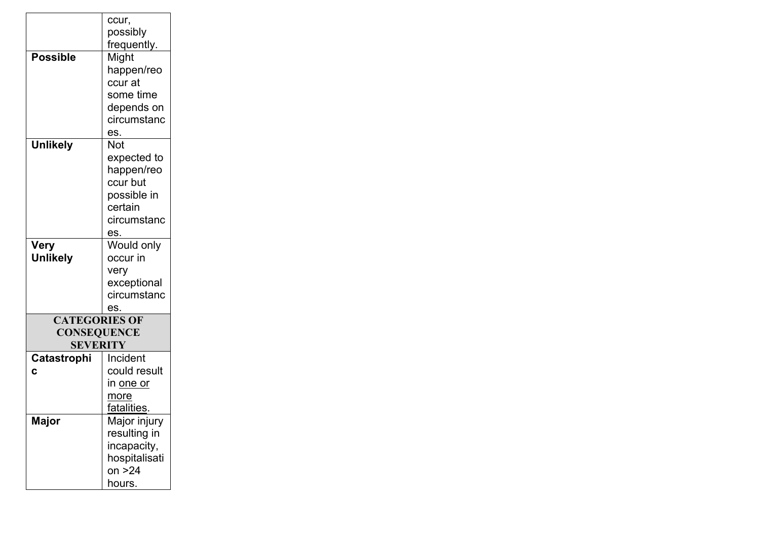|                      | ccur,            |
|----------------------|------------------|
|                      | possibly         |
|                      | frequently.      |
| <b>Possible</b>      | Might            |
|                      | happen/reo       |
|                      | ccur at          |
|                      | some time        |
|                      | depends on       |
|                      | circumstanc      |
|                      | es.              |
| Unlikely             | Not              |
|                      | expected to      |
|                      | happen/reo       |
|                      | ccur but         |
|                      | possible in      |
|                      | certain          |
|                      | circumstanc      |
|                      | es.              |
| Very                 | Would only       |
| Unlikely             | occur in         |
|                      | very             |
|                      | exceptional      |
|                      | circumstanc      |
|                      | es.              |
| <b>CATEGORIES OF</b> |                  |
| <b>CONSEQUENCE</b>   |                  |
| <b>SEVERITY</b>      |                  |
| Catastrophi          | Incident         |
| C                    | could result     |
|                      | in <u>one or</u> |
|                      | more             |
|                      | fatalities.      |
| Major                | Major injury     |
|                      | resulting in     |
|                      | incapacity,      |
|                      | hospitalisati    |
|                      | on $>24$         |
|                      | hours.           |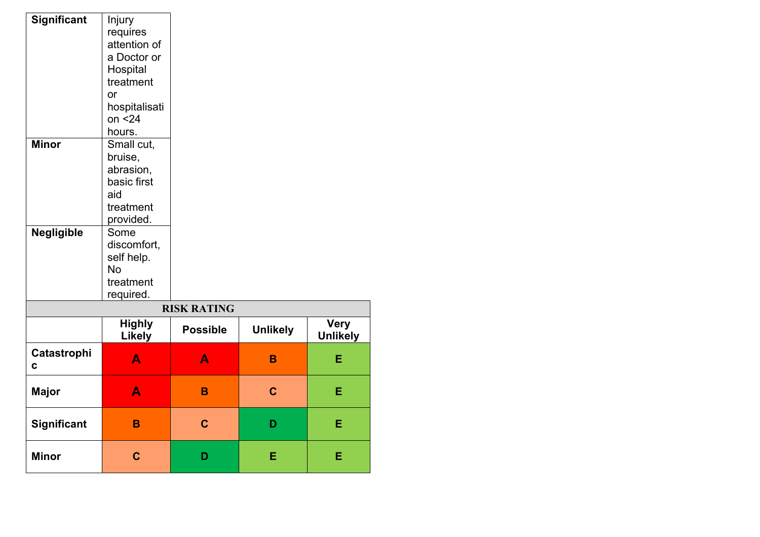| <b>Significant</b> | Injury<br>requires             |                    |                 |                                |
|--------------------|--------------------------------|--------------------|-----------------|--------------------------------|
|                    | attention of                   |                    |                 |                                |
|                    | a Doctor or                    |                    |                 |                                |
|                    | Hospital                       |                    |                 |                                |
|                    | treatment                      |                    |                 |                                |
|                    | <b>or</b>                      |                    |                 |                                |
|                    | hospitalisati                  |                    |                 |                                |
|                    | on $<$ 24                      |                    |                 |                                |
|                    | hours.                         |                    |                 |                                |
| <b>Minor</b>       | Small cut,                     |                    |                 |                                |
|                    | bruise,                        |                    |                 |                                |
|                    | abrasion,                      |                    |                 |                                |
|                    | basic first                    |                    |                 |                                |
|                    | aid                            |                    |                 |                                |
|                    | treatment                      |                    |                 |                                |
|                    | provided.                      |                    |                 |                                |
| <b>Negligible</b>  | Some                           |                    |                 |                                |
|                    | discomfort,                    |                    |                 |                                |
|                    | self help.                     |                    |                 |                                |
|                    | <b>No</b>                      |                    |                 |                                |
|                    | treatment                      |                    |                 |                                |
|                    | required.                      |                    |                 |                                |
|                    |                                | <b>RISK RATING</b> |                 |                                |
|                    | <b>Highly</b><br><b>Likely</b> | <b>Possible</b>    | <b>Unlikely</b> | <b>Very</b><br><b>Unlikely</b> |
| Catastrophi<br>C   | $\blacktriangle$               | $\blacktriangle$   | B               | E                              |
| <b>Major</b>       | А                              | B                  | $\mathbf C$     | E                              |
| Significant        | B                              | $\mathbf C$        | D               | E                              |
| <b>Minor</b>       | $\mathbf C$                    | D                  | E               | E                              |